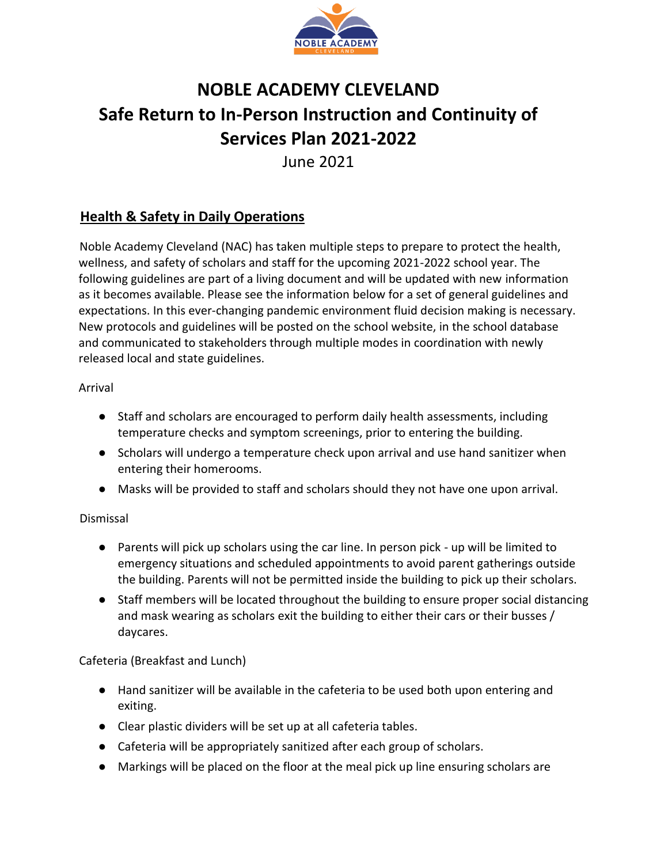

# **NOBLE ACADEMY CLEVELAND Safe Return to In-Person Instruction and Continuity of Services Plan 2021-2022**

June 2021

# **Health & Safety in Daily Operations**

Noble Academy Cleveland (NAC) has taken multiple steps to prepare to protect the health, wellness, and safety of scholars and staff for the upcoming 2021-2022 school year. The following guidelines are part of a living document and will be updated with new information as it becomes available. Please see the information below for a set of general guidelines and expectations. In this ever-changing pandemic environment fluid decision making is necessary. New protocols and guidelines will be posted on the school website, in the school database and communicated to stakeholders through multiple modes in coordination with newly released local and state guidelines.

## Arrival

- Staff and scholars are encouraged to perform daily health assessments, including temperature checks and symptom screenings, prior to entering the building.
- Scholars will undergo a temperature check upon arrival and use hand sanitizer when entering their homerooms.
- Masks will be provided to staff and scholars should they not have one upon arrival.

## Dismissal

- Parents will pick up scholars using the car line. In person pick up will be limited to emergency situations and scheduled appointments to avoid parent gatherings outside the building. Parents will not be permitted inside the building to pick up their scholars.
- Staff members will be located throughout the building to ensure proper social distancing and mask wearing as scholars exit the building to either their cars or their busses / daycares.

## Cafeteria (Breakfast and Lunch)

- Hand sanitizer will be available in the cafeteria to be used both upon entering and exiting.
- Clear plastic dividers will be set up at all cafeteria tables.
- Cafeteria will be appropriately sanitized after each group of scholars.
- Markings will be placed on the floor at the meal pick up line ensuring scholars are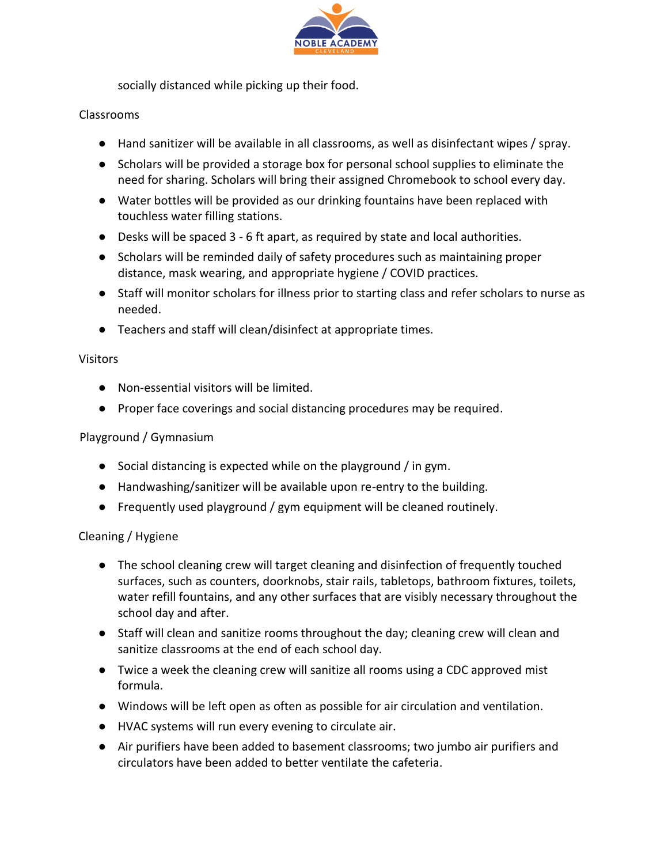

socially distanced while picking up their food.

#### Classrooms

- Hand sanitizer will be available in all classrooms, as well as disinfectant wipes / spray.
- Scholars will be provided a storage box for personal school supplies to eliminate the need for sharing. Scholars will bring their assigned Chromebook to school every day.
- Water bottles will be provided as our drinking fountains have been replaced with touchless water filling stations.
- Desks will be spaced 3 6 ft apart, as required by state and local authorities.
- Scholars will be reminded daily of safety procedures such as maintaining proper distance, mask wearing, and appropriate hygiene / COVID practices.
- Staff will monitor scholars for illness prior to starting class and refer scholars to nurse as needed.
- Teachers and staff will clean/disinfect at appropriate times.

#### Visitors

- Non-essential visitors will be limited.
- Proper face coverings and social distancing procedures may be required.

### Playground / Gymnasium

- Social distancing is expected while on the playground / in gym.
- Handwashing/sanitizer will be available upon re-entry to the building.
- Frequently used playground / gym equipment will be cleaned routinely.

#### Cleaning / Hygiene

- The school cleaning crew will target cleaning and disinfection of frequently touched surfaces, such as counters, doorknobs, stair rails, tabletops, bathroom fixtures, toilets, water refill fountains, and any other surfaces that are visibly necessary throughout the school day and after.
- Staff will clean and sanitize rooms throughout the day; cleaning crew will clean and sanitize classrooms at the end of each school day.
- Twice a week the cleaning crew will sanitize all rooms using a CDC approved mist formula.
- Windows will be left open as often as possible for air circulation and ventilation.
- HVAC systems will run every evening to circulate air.
- Air purifiers have been added to basement classrooms; two jumbo air purifiers and circulators have been added to better ventilate the cafeteria.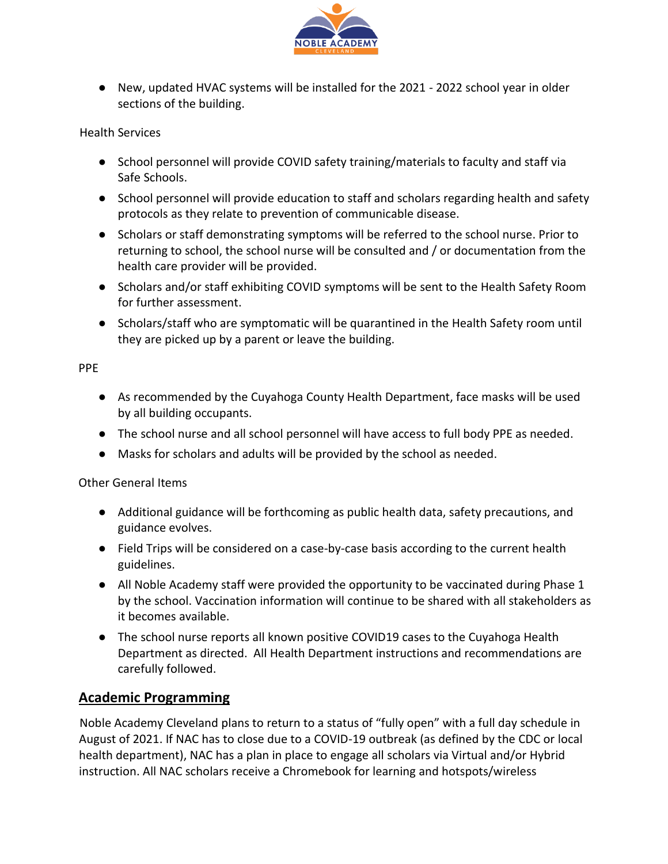

● New, updated HVAC systems will be installed for the 2021 - 2022 school year in older sections of the building.

#### Health Services

- School personnel will provide COVID safety training/materials to faculty and staff via Safe Schools.
- School personnel will provide education to staff and scholars regarding health and safety protocols as they relate to prevention of communicable disease.
- Scholars or staff demonstrating symptoms will be referred to the school nurse. Prior to returning to school, the school nurse will be consulted and / or documentation from the health care provider will be provided.
- Scholars and/or staff exhibiting COVID symptoms will be sent to the Health Safety Room for further assessment.
- Scholars/staff who are symptomatic will be quarantined in the Health Safety room until they are picked up by a parent or leave the building.

#### PPE

- As recommended by the Cuyahoga County Health Department, face masks will be used by all building occupants.
- The school nurse and all school personnel will have access to full body PPE as needed.
- Masks for scholars and adults will be provided by the school as needed.

#### Other General Items

- Additional guidance will be forthcoming as public health data, safety precautions, and guidance evolves.
- Field Trips will be considered on a case-by-case basis according to the current health guidelines.
- All Noble Academy staff were provided the opportunity to be vaccinated during Phase 1 by the school. Vaccination information will continue to be shared with all stakeholders as it becomes available.
- The school nurse reports all known positive COVID19 cases to the Cuyahoga Health Department as directed. All Health Department instructions and recommendations are carefully followed.

#### **Academic Programming**

Noble Academy Cleveland plans to return to a status of "fully open" with a full day schedule in August of 2021. If NAC has to close due to a COVID-19 outbreak (as defined by the CDC or local health department), NAC has a plan in place to engage all scholars via Virtual and/or Hybrid instruction. All NAC scholars receive a Chromebook for learning and hotspots/wireless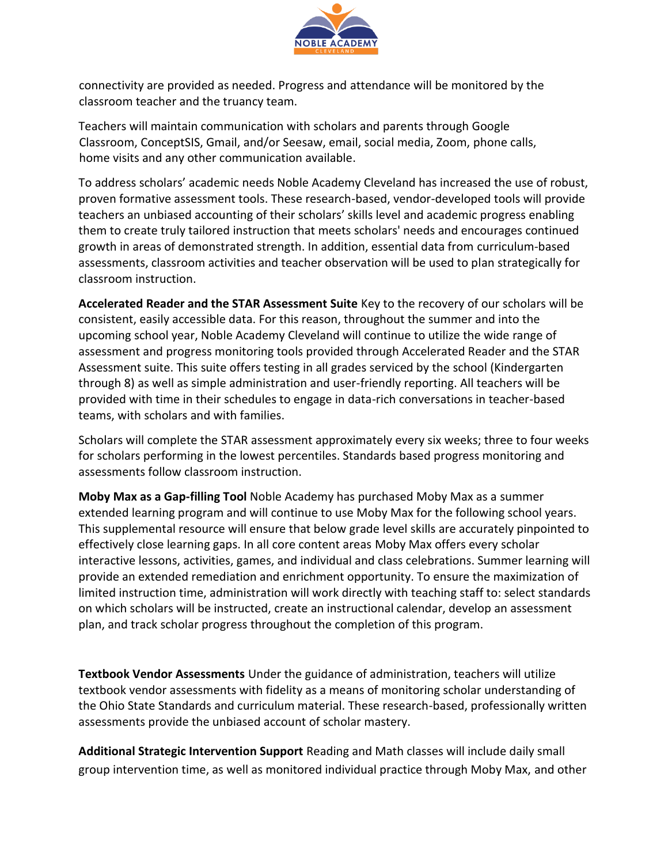

connectivity are provided as needed. Progress and attendance will be monitored by the classroom teacher and the truancy team.

Teachers will maintain communication with scholars and parents through Google Classroom, ConceptSIS, Gmail, and/or Seesaw, email, social media, Zoom, phone calls, home visits and any other communication available.

To address scholars' academic needs Noble Academy Cleveland has increased the use of robust, proven formative assessment tools. These research-based, vendor-developed tools will provide teachers an unbiased accounting of their scholars' skills level and academic progress enabling them to create truly tailored instruction that meets scholars' needs and encourages continued growth in areas of demonstrated strength. In addition, essential data from curriculum-based assessments, classroom activities and teacher observation will be used to plan strategically for classroom instruction.

**Accelerated Reader and the STAR Assessment Suite** Key to the recovery of our scholars will be consistent, easily accessible data. For this reason, throughout the summer and into the upcoming school year, Noble Academy Cleveland will continue to utilize the wide range of assessment and progress monitoring tools provided through Accelerated Reader and the STAR Assessment suite. This suite offers testing in all grades serviced by the school (Kindergarten through 8) as well as simple administration and user-friendly reporting. All teachers will be provided with time in their schedules to engage in data-rich conversations in teacher-based teams, with scholars and with families.

Scholars will complete the STAR assessment approximately every six weeks; three to four weeks for scholars performing in the lowest percentiles. Standards based progress monitoring and assessments follow classroom instruction.

**Moby Max as a Gap-filling Tool** Noble Academy has purchased Moby Max as a summer extended learning program and will continue to use Moby Max for the following school years. This supplemental resource will ensure that below grade level skills are accurately pinpointed to effectively close learning gaps. In all core content areas Moby Max offers every scholar interactive lessons, activities, games, and individual and class celebrations. Summer learning will provide an extended remediation and enrichment opportunity. To ensure the maximization of limited instruction time, administration will work directly with teaching staff to: select standards on which scholars will be instructed, create an instructional calendar, develop an assessment plan, and track scholar progress throughout the completion of this program.

**Textbook Vendor Assessments** Under the guidance of administration, teachers will utilize textbook vendor assessments with fidelity as a means of monitoring scholar understanding of the Ohio State Standards and curriculum material. These research-based, professionally written assessments provide the unbiased account of scholar mastery.

**Additional Strategic Intervention Support** Reading and Math classes will include daily small group intervention time, as well as monitored individual practice through Moby Max, and other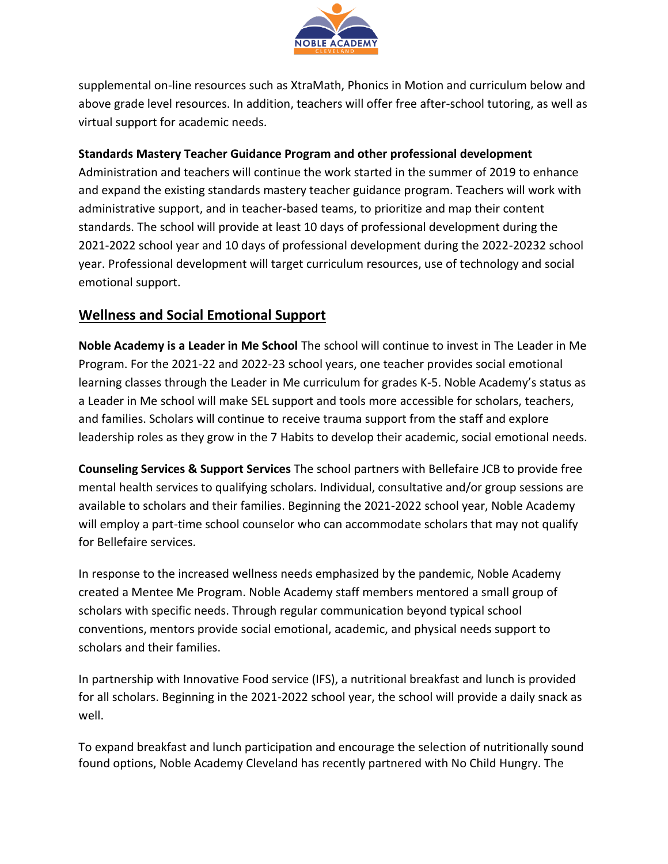

supplemental on-line resources such as XtraMath, Phonics in Motion and curriculum below and above grade level resources. In addition, teachers will offer free after-school tutoring, as well as virtual support for academic needs.

## **Standards Mastery Teacher Guidance Program and other professional development**

Administration and teachers will continue the work started in the summer of 2019 to enhance and expand the existing standards mastery teacher guidance program. Teachers will work with administrative support, and in teacher-based teams, to prioritize and map their content standards. The school will provide at least 10 days of professional development during the 2021-2022 school year and 10 days of professional development during the 2022-20232 school year. Professional development will target curriculum resources, use of technology and social emotional support.

## **Wellness and Social Emotional Support**

**Noble Academy is a Leader in Me School** The school will continue to invest in The Leader in Me Program. For the 2021-22 and 2022-23 school years, one teacher provides social emotional learning classes through the Leader in Me curriculum for grades K-5. Noble Academy's status as a Leader in Me school will make SEL support and tools more accessible for scholars, teachers, and families. Scholars will continue to receive trauma support from the staff and explore leadership roles as they grow in the 7 Habits to develop their academic, social emotional needs.

**Counseling Services & Support Services** The school partners with Bellefaire JCB to provide free mental health services to qualifying scholars. Individual, consultative and/or group sessions are available to scholars and their families. Beginning the 2021-2022 school year, Noble Academy will employ a part-time school counselor who can accommodate scholars that may not qualify for Bellefaire services.

In response to the increased wellness needs emphasized by the pandemic, Noble Academy created a Mentee Me Program. Noble Academy staff members mentored a small group of scholars with specific needs. Through regular communication beyond typical school conventions, mentors provide social emotional, academic, and physical needs support to scholars and their families.

In partnership with Innovative Food service (IFS), a nutritional breakfast and lunch is provided for all scholars. Beginning in the 2021-2022 school year, the school will provide a daily snack as well.

To expand breakfast and lunch participation and encourage the selection of nutritionally sound found options, Noble Academy Cleveland has recently partnered with No Child Hungry. The